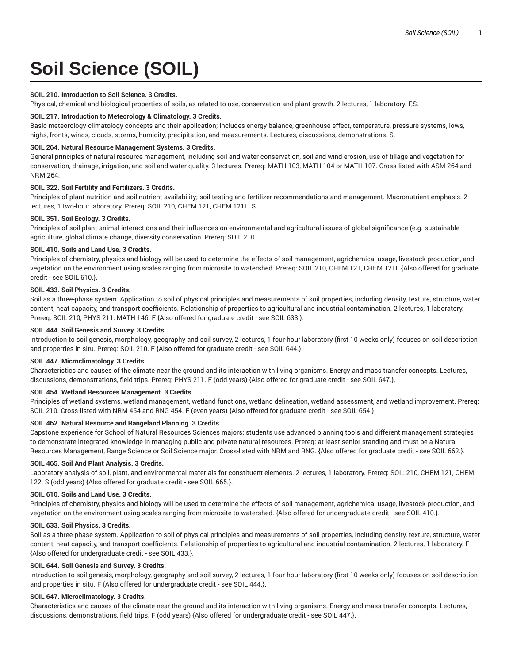# **Soil Science (SOIL)**

# **SOIL 210. Introduction to Soil Science. 3 Credits.**

Physical, chemical and biological properties of soils, as related to use, conservation and plant growth. 2 lectures, 1 laboratory. F,S.

## **SOIL 217. Introduction to Meteorology & Climatology. 3 Credits.**

Basic meteorology-climatology concepts and their application; includes energy balance, greenhouse effect, temperature, pressure systems, lows, highs, fronts, winds, clouds, storms, humidity, precipitation, and measurements. Lectures, discussions, demonstrations. S.

## **SOIL 264. Natural Resource Management Systems. 3 Credits.**

General principles of natural resource management, including soil and water conservation, soil and wind erosion, use of tillage and vegetation for conservation, drainage, irrigation, and soil and water quality. 3 lectures. Prereq: MATH 103, MATH 104 or MATH 107. Cross-listed with ASM 264 and NRM 264.

## **SOIL 322. Soil Fertility and Fertilizers. 3 Credits.**

Principles of plant nutrition and soil nutrient availability; soil testing and fertilizer recommendations and management. Macronutrient emphasis. 2 lectures, 1 two-hour laboratory. Prereq: SOIL 210, CHEM 121, CHEM 121L. S.

#### **SOIL 351. Soil Ecology. 3 Credits.**

Principles of soil-plant-animal interactions and their influences on environmental and agricultural issues of global significance (e.g. sustainable agriculture, global climate change, diversity conservation. Prereq: SOIL 210.

# **SOIL 410. Soils and Land Use. 3 Credits.**

Principles of chemistry, physics and biology will be used to determine the effects of soil management, agrichemical usage, livestock production, and vegetation on the environment using scales ranging from microsite to watershed. Prereq: SOIL 210, CHEM 121, CHEM 121L.{Also offered for graduate credit - see SOIL 610.}.

# **SOIL 433. Soil Physics. 3 Credits.**

Soil as a three-phase system. Application to soil of physical principles and measurements of soil properties, including density, texture, structure, water content, heat capacity, and transport coefficients. Relationship of properties to agricultural and industrial contamination. 2 lectures, 1 laboratory. Prereq: SOIL 210, PHYS 211, MATH 146. F {Also offered for graduate credit - see SOIL 633.}.

#### **SOIL 444. Soil Genesis and Survey. 3 Credits.**

Introduction to soil genesis, morphology, geography and soil survey, 2 lectures, 1 four-hour laboratory (first 10 weeks only) focuses on soil description and properties in situ. Prereq: SOIL 210. F {Also offered for graduate credit - see SOIL 644.}.

#### **SOIL 447. Microclimatology. 3 Credits.**

Characteristics and causes of the climate near the ground and its interaction with living organisms. Energy and mass transfer concepts. Lectures, discussions, demonstrations, field trips. Prereq: PHYS 211. F (odd years) {Also offered for graduate credit - see SOIL 647.}.

# **SOIL 454. Wetland Resources Management. 3 Credits.**

Principles of wetland systems, wetland management, wetland functions, wetland delineation, wetland assessment, and wetland improvement. Prereq: SOIL 210. Cross-listed with NRM 454 and RNG 454. F (even years) {Also offered for graduate credit - see SOIL 654.}.

# **SOIL 462. Natural Resource and Rangeland Planning. 3 Credits.**

Capstone experience for School of Natural Resources Sciences majors: students use advanced planning tools and different management strategies to demonstrate integrated knowledge in managing public and private natural resources. Prereq: at least senior standing and must be a Natural Resources Management, Range Science or Soil Science major. Cross-listed with NRM and RNG. {Also offered for graduate credit - see SOIL 662.}.

# **SOIL 465. Soil And Plant Analysis. 3 Credits.**

Laboratory analysis of soil, plant, and environmental materials for constituent elements. 2 lectures, 1 laboratory. Prereq: SOIL 210, CHEM 121, CHEM 122. S (odd years) {Also offered for graduate credit - see SOIL 665.}.

#### **SOIL 610. Soils and Land Use. 3 Credits.**

Principles of chemistry, physics and biology will be used to determine the effects of soil management, agrichemical usage, livestock production, and vegetation on the environment using scales ranging from microsite to watershed. {Also offered for undergraduate credit - see SOIL 410.}.

#### **SOIL 633. Soil Physics. 3 Credits.**

Soil as a three-phase system. Application to soil of physical principles and measurements of soil properties, including density, texture, structure, water content, heat capacity, and transport coefficients. Relationship of properties to agricultural and industrial contamination. 2 lectures, 1 laboratory. F {Also offered for undergraduate credit - see SOIL 433.}.

#### **SOIL 644. Soil Genesis and Survey. 3 Credits.**

Introduction to soil genesis, morphology, geography and soil survey, 2 lectures, 1 four-hour laboratory (first 10 weeks only) focuses on soil description and properties in situ. F {Also offered for undergraduate credit - see SOIL 444.}.

# **SOIL 647. Microclimatology. 3 Credits.**

Characteristics and causes of the climate near the ground and its interaction with living organisms. Energy and mass transfer concepts. Lectures, discussions, demonstrations, field trips. F (odd years) {Also offered for undergraduate credit - see SOIL 447.}.